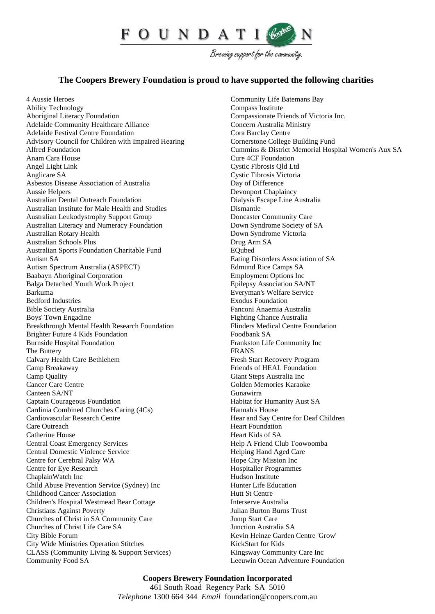

Brewing support for the community.

## **The Coopers Brewery Foundation is proud to have supported the following charities**

4 Aussie Heroes Ability Technology Aboriginal Literacy Foundation Adelaide Community Healthcare Alliance Adelaide Festival Centre Foundation Advisory Council for Children with Impaired Hearing Alfred Foundation Anam Cara House Angel Light Link Anglicare SA Asbestos Disease Association of Australia Aussie Helpers Australian Dental Outreach Foundation Australian Institute for Male Health and Studies Australian Leukodystrophy Support Group Australian Literacy and Numeracy Foundation Australian Rotary Health Australian Schools Plus Australian Sports Foundation Charitable Fund Autism SA Autism Spectrum Australia (ASPECT) Baabayn Aboriginal Corporation Balga Detached Youth Work Project Barkuma Bedford Industries Bible Society Australia Boys' Town Engadine Breakthrough Mental Health Research Foundation Brighter Future 4 Kids Foundation Burnside Hospital Foundation The Buttery Calvary Health Care Bethlehem Camp Breakaway Camp Quality Cancer Care Centre Canteen SA/NT Captain Courageous Foundation Cardinia Combined Churches Caring (4Cs) Cardiovascular Research Centre Care Outreach Catherine House Central Coast Emergency Services Central Domestic Violence Service Centre for Cerebral Palsy WA Centre for Eye Research ChaplainWatch Inc Child Abuse Prevention Service (Sydney) Inc Childhood Cancer Association Children's Hospital Westmead Bear Cottage Christians Against Poverty Churches of Christ in SA Community Care Churches of Christ Life Care SA City Bible Forum City Wide Ministries Operation Stitches CLASS (Community Living & Support Services) Community Food SA

Community Life Batemans Bay Compass Institute Compassionate Friends of Victoria Inc. Concern Australia Ministry Cora Barclay Centre Cornerstone College Building Fund Cummins & District Memorial Hospital Women's Aux SA Cure 4CF Foundation Cystic Fibrosis Qld Ltd Cystic Fibrosis Victoria Day of Difference Devonport Chaplaincy Dialysis Escape Line Australia Dismantle Doncaster Community Care Down Syndrome Society of SA Down Syndrome Victoria Drug Arm SA EQubed Eating Disorders Association of SA Edmund Rice Camps SA Employment Options Inc Epilepsy Association SA/NT Everyman's Welfare Service Exodus Foundation Fanconi Anaemia Australia Fighting Chance Australia Flinders Medical Centre Foundation Foodbank SA Frankston Life Community Inc FRANS Fresh Start Recovery Program Friends of HEAL Foundation Giant Steps Australia Inc Golden Memories Karaoke Gunawirra Habitat for Humanity Aust SA Hannah's House Hear and Say Centre for Deaf Children Heart Foundation Heart Kids of SA Help A Friend Club Toowoomba Helping Hand Aged Care Hope City Mission Inc Hospitaller Programmes Hudson Institute Hunter Life Education Hutt St Centre Interserve Australia Julian Burton Burns Trust Jump Start Care Junction Australia SA Kevin Heinze Garden Centre 'Grow' KickStart for Kids Kingsway Community Care Inc Leeuwin Ocean Adventure Foundation

## **Coopers Brewery Foundation Incorporated** 461 South Road Regency Park SA 5010 *Telephone* 1300 664 344 *Email* [foundation@coopers.com.au](mailto:foundation@coopers.com.au)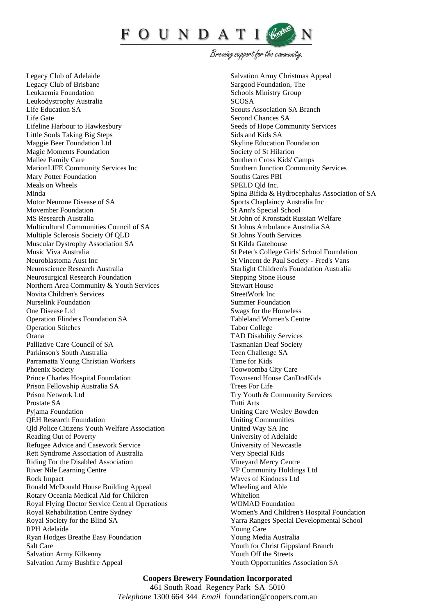

Brewing support for the community.

Legacy Club of Adelaide Legacy Club of Brisbane Leukaemia Foundation Leukodystrophy Australia Life Education SA Life Gate Lifeline Harbour to Hawkesbury Little Souls Taking Big Steps Maggie Beer Foundation Ltd Magic Moments Foundation Mallee Family Care MarionLIFE Community Services Inc Mary Potter Foundation Meals on Wheels Minda Motor Neurone Disease of SA Movember Foundation MS Research Australia Multicultural Communities Council of SA Multiple Sclerosis Society Of QLD Muscular Dystrophy Association SA Music Viva Australia Neuroblastoma Aust Inc Neuroscience Research Australia Neurosurgical Research Foundation Northern Area Community & Youth Services Novita Children's Services Nurselink Foundation One Disease Ltd Operation Flinders Foundation SA Operation Stitches Orana Palliative Care Council of SA Parkinson's South Australia Parramatta Young Christian Workers Phoenix Society Prince Charles Hospital Foundation Prison Fellowship Australia SA Prison Network Ltd Prostate SA Pyjama Foundation QEH Research Foundation Qld Police Citizens Youth Welfare Association Reading Out of Poverty Refugee Advice and Casework Service Rett Syndrome Association of Australia Riding For the Disabled Association River Nile Learning Centre Rock Impact Ronald McDonald House Building Appeal Rotary Oceania Medical Aid for Children Royal Flying Doctor Service Central Operations Royal Rehabilitation Centre Sydney Royal Society for the Blind SA RPH Adelaide Ryan Hodges Breathe Easy Foundation Salt Care Salvation Army Kilkenny Salvation Army Bushfire Appeal

Salvation Army Christmas Appeal Sargood Foundation, The Schools Ministry Group **SCOSA** Scouts Association SA Branch Second Chances SA Seeds of Hope Community Services Sids and Kids SA Skyline Education Foundation Society of St Hilarion Southern Cross Kids' Camps Southern Junction Community Services Souths Cares PBI SPELD Qld Inc. Spina Bifida & Hydrocephalus Association of SA Sports Chaplaincy Australia Inc St Ann's Special School St John of Kronstadt Russian Welfare St Johns Ambulance Australia SA St Johns Youth Services St Kilda Gatehouse St Peter's College Girls' School Foundation St Vincent de Paul Society - Fred's Vans Starlight Children's Foundation Australia Stepping Stone House Stewart House StreetWork Inc Summer Foundation Swags for the Homeless Tableland Women's Centre Tabor College TAD Disability Services Tasmanian Deaf Society Teen Challenge SA Time for Kids Toowoomba City Care Townsend House CanDo4Kids Trees For Life Try Youth & Community Services Tutti Arts Uniting Care Wesley Bowden Uniting Communities United Way SA Inc University of Adelaide University of Newcastle Very Special Kids Vineyard Mercy Centre VP Community Holdings Ltd Waves of Kindness Ltd Wheeling and Able Whitelion WOMAD Foundation Women's And Children's Hospital Foundation Yarra Ranges Special Developmental School Young Care Young Media Australia Youth for Christ Gippsland Branch Youth Off the Streets Youth Opportunities Association SA

## **Coopers Brewery Foundation Incorporated** 461 South Road Regency Park SA 5010 *Telephone* 1300 664 344 *Email* [foundation@coopers.com.au](mailto:foundation@coopers.com.au)